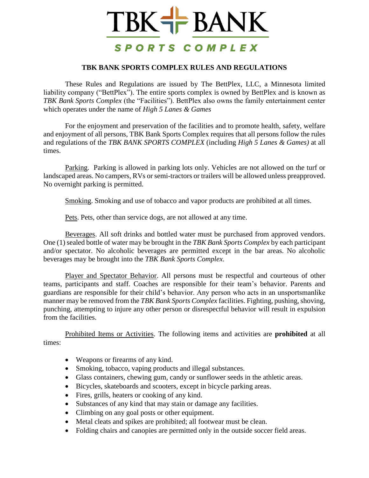## TBK+ BANK SPORTS COMPLEX

## **TBK BANK SPORTS COMPLEX RULES AND REGULATIONS**

These Rules and Regulations are issued by The BettPlex, LLC, a Minnesota limited liability company ("BettPlex"). The entire sports complex is owned by BettPlex and is known as *TBK Bank Sports Complex* (the "Facilities"). BettPlex also owns the family entertainment center which operates under the name of *High 5 Lanes & Games* 

For the enjoyment and preservation of the facilities and to promote health, safety, welfare and enjoyment of all persons, TBK Bank Sports Complex requires that all persons follow the rules and regulations of the *TBK BANK SPORTS COMPLEX* (including *High 5 Lanes & Games)* at all times.

Parking. Parking is allowed in parking lots only. Vehicles are not allowed on the turf or landscaped areas. No campers, RVs or semi-tractors or trailers will be allowed unless preapproved. No overnight parking is permitted.

Smoking. Smoking and use of tobacco and vapor products are prohibited at all times.

Pets. Pets, other than service dogs, are not allowed at any time.

Beverages. All soft drinks and bottled water must be purchased from approved vendors. One (1) sealed bottle of water may be brought in the *TBK Bank Sports Complex* by each participant and/or spectator. No alcoholic beverages are permitted except in the bar areas. No alcoholic beverages may be brought into the *TBK Bank Sports Complex*.

Player and Spectator Behavior. All persons must be respectful and courteous of other teams, participants and staff. Coaches are responsible for their team's behavior. Parents and guardians are responsible for their child's behavior. Any person who acts in an unsportsmanlike manner may be removed from the *TBK Bank Sports Complex* facilities. Fighting, pushing, shoving, punching, attempting to injure any other person or disrespectful behavior will result in expulsion from the facilities.

Prohibited Items or Activities. The following items and activities are **prohibited** at all times:

- Weapons or firearms of any kind.
- Smoking, tobacco, vaping products and illegal substances.
- Glass containers, chewing gum, candy or sunflower seeds in the athletic areas.
- Bicycles, skateboards and scooters, except in bicycle parking areas.
- Fires, grills, heaters or cooking of any kind.
- Substances of any kind that may stain or damage any facilities.
- Climbing on any goal posts or other equipment.
- Metal cleats and spikes are prohibited; all footwear must be clean.
- Folding chairs and canopies are permitted only in the outside soccer field areas.